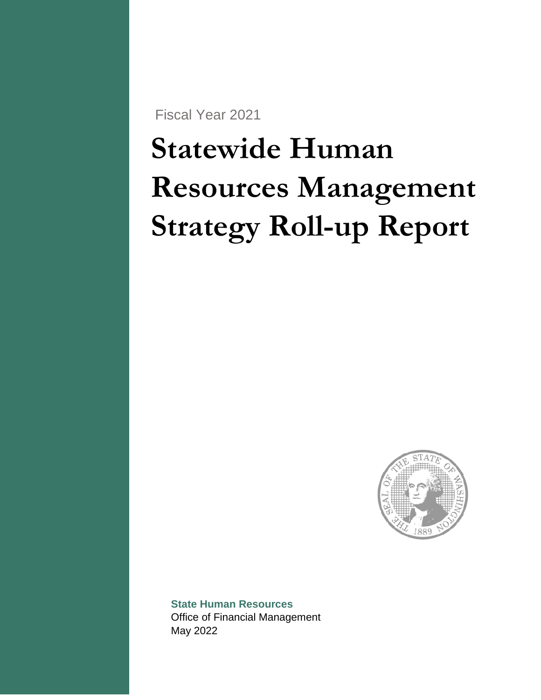Fiscal Year 2021

# **Statewide Human Resources Management Strategy Roll-up Report**



**State Human Resources**  Office of Financial Management May 2022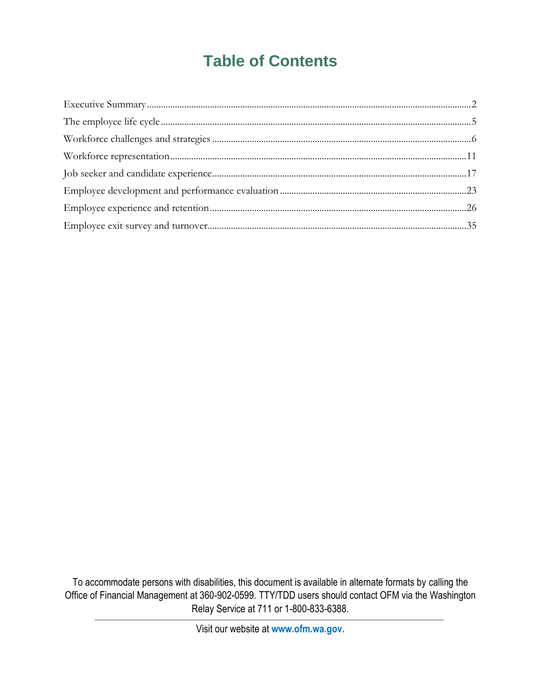## **Table of Contents**

To accommodate persons with disabilities, this document is available in alternate formats by calling the Office of Financial Management at 360-902-0599. TTY/TDD users should contact OFM via the Washington Relay Service at 711 or 1-800-833-6388.

Visit our website at **www.ofm.wa.gov.**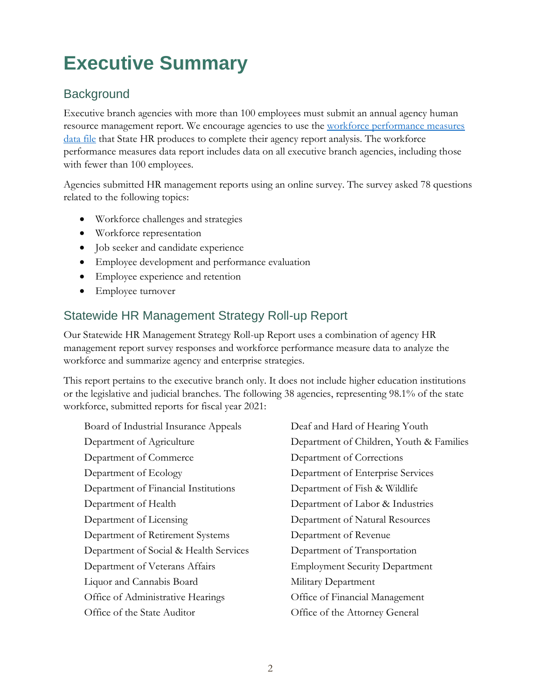## <span id="page-2-0"></span>**Executive Summary**

## **Background**

Executive branch agencies with more than 100 employees must submit an annual agency human resource management report. We encourage agencies to use the [workforce performance measures](https://ofm.wa.gov/sites/default/files/public/shr/WorkforceData/HRManagementReport/Workforce_Performance_Measures_Data_File.xlsx)  [data file](https://ofm.wa.gov/sites/default/files/public/shr/WorkforceData/HRManagementReport/Workforce_Performance_Measures_Data_File.xlsx) that State HR produces to complete their agency report analysis. The workforce performance measures data report includes data on all executive branch agencies, including those with fewer than 100 employees.

Agencies submitted HR management reports using an online survey. The survey asked 78 questions related to the following topics:

- Workforce challenges and strategies
- Workforce representation
- Job seeker and candidate experience
- Employee development and performance evaluation
- Employee experience and retention
- Employee turnover

## Statewide HR Management Strategy Roll-up Report

Our Statewide HR Management Strategy Roll-up Report uses a combination of agency HR management report survey responses and workforce performance measure data to analyze the workforce and summarize agency and enterprise strategies.

This report pertains to the executive branch only. It does not include higher education institutions or the legislative and judicial branches. The following 38 agencies, representing 98.1% of the state workforce, submitted reports for fiscal year 2021:

Board of Industrial Insurance Appeals Deaf and Hard of Hearing Youth Department of Commerce Department of Corrections Department of Ecology Department of Enterprise Services Department of Financial Institutions Department of Fish & Wildlife Department of Health Department of Labor & Industries Department of Licensing Department of Natural Resources Department of Retirement Systems Department of Revenue Department of Social & Health Services Department of Transportation Department of Veterans Affairs Employment Security Department Liquor and Cannabis Board Military Department Office of Administrative Hearings Office of Financial Management Office of the State Auditor Office of the Attorney General

Department of Agriculture Department of Children, Youth & Families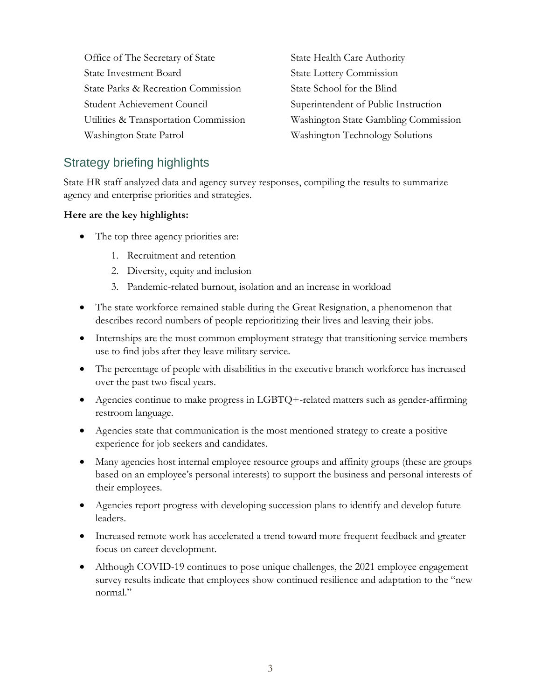Office of The Secretary of State State State Health Care Authority State Investment Board State Lottery Commission State Parks & Recreation Commission State School for the Blind Student Achievement Council Superintendent of Public Instruction Washington State Patrol Washington Technology Solutions

Utilities & Transportation Commission Washington State Gambling Commission

## Strategy briefing highlights

State HR staff analyzed data and agency survey responses, compiling the results to summarize agency and enterprise priorities and strategies.

#### **Here are the key highlights:**

- The top three agency priorities are:
	- 1. Recruitment and retention
	- 2. Diversity, equity and inclusion
	- 3. Pandemic-related burnout, isolation and an increase in workload
- The state workforce remained stable during the Great Resignation, a phenomenon that describes record numbers of people reprioritizing their lives and leaving their jobs.
- Internships are the most common employment strategy that transitioning service members use to find jobs after they leave military service.
- The percentage of people with disabilities in the executive branch workforce has increased over the past two fiscal years.
- Agencies continue to make progress in LGBTQ+-related matters such as gender-affirming restroom language.
- Agencies state that communication is the most mentioned strategy to create a positive experience for job seekers and candidates.
- Many agencies host internal employee resource groups and affinity groups (these are groups based on an employee's personal interests) to support the business and personal interests of their employees.
- Agencies report progress with developing succession plans to identify and develop future leaders.
- Increased remote work has accelerated a trend toward more frequent feedback and greater focus on career development.
- Although COVID-19 continues to pose unique challenges, the 2021 employee engagement survey results indicate that employees show continued resilience and adaptation to the "new normal."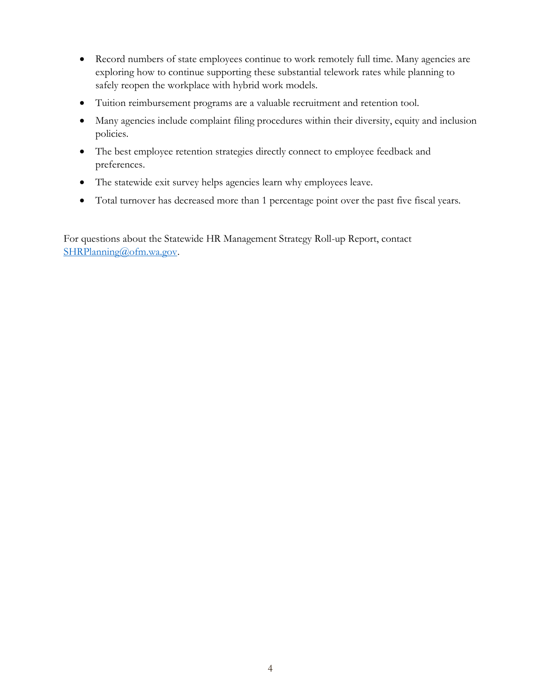- Record numbers of state employees continue to work remotely full time. Many agencies are exploring how to continue supporting these substantial telework rates while planning to safely reopen the workplace with hybrid work models.
- Tuition reimbursement programs are a valuable recruitment and retention tool.
- Many agencies include complaint filing procedures within their diversity, equity and inclusion policies.
- The best employee retention strategies directly connect to employee feedback and preferences.
- The statewide exit survey helps agencies learn why employees leave.
- Total turnover has decreased more than 1 percentage point over the past five fiscal years.

For questions about the Statewide HR Management Strategy Roll-up Report, contact [SHRPlanning@ofm.wa.gov.](mailto:SHRPlanning@ofm.wa.gov)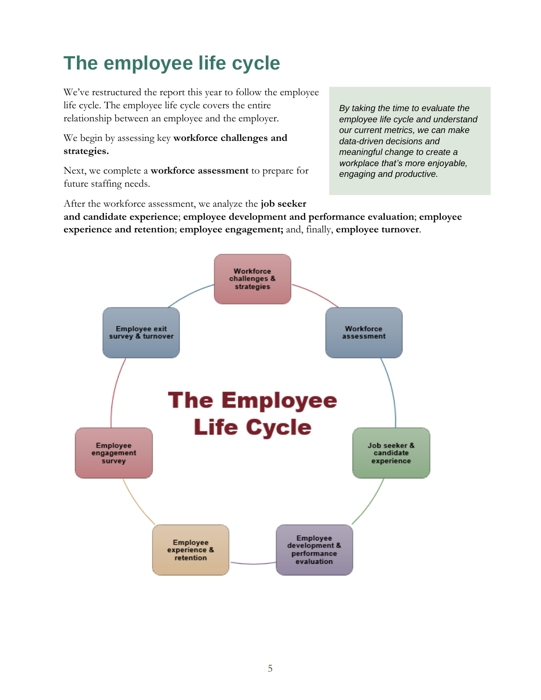## <span id="page-5-0"></span>**The employee life cycle**

We've restructured the report this year to follow the employee life cycle. The employee life cycle covers the entire relationship between an employee and the employer.

We begin by assessing key **workforce challenges and strategies.**

Next, we complete a **workforce assessment** to prepare for future staffing needs.

*By taking the time to evaluate the employee life cycle and understand our current metrics, we can make data-driven decisions and meaningful change to create a workplace that's more enjoyable, engaging and productive.*

After the workforce assessment, we analyze the **job seeker and candidate experience**; **employee development and performance evaluation**; **employee experience and retention**; **employee engagement;** and, finally, **employee turnover**.

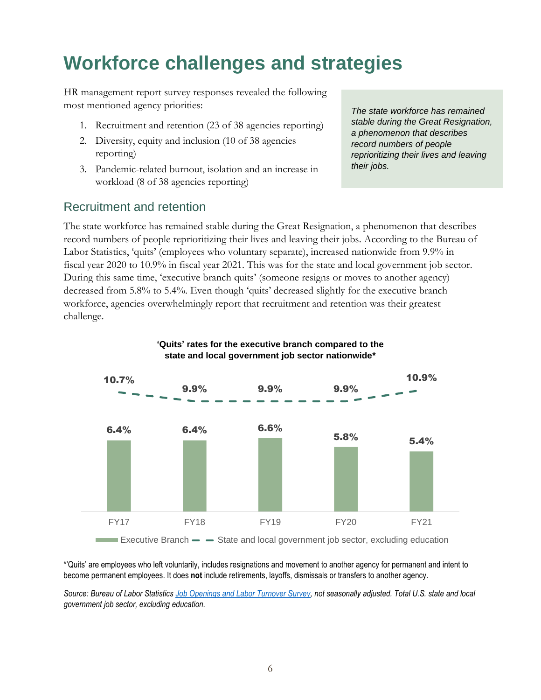## <span id="page-6-0"></span>**Workforce challenges and strategies**

HR management report survey responses revealed the following most mentioned agency priorities:

- 1. Recruitment and retention (23 of 38 agencies reporting)
- 2. Diversity, equity and inclusion (10 of 38 agencies reporting)
- 3. Pandemic-related burnout, isolation and an increase in workload (8 of 38 agencies reporting)

### Recruitment and retention

*The state workforce has remained stable during the Great Resignation, a phenomenon that describes record numbers of people reprioritizing their lives and leaving their jobs.*

The state workforce has remained stable during the Great Resignation, a phenomenon that describes record numbers of people reprioritizing their lives and leaving their jobs. According to the Bureau of Labor Statistics, 'quits' (employees who voluntary separate), increased nationwide from 9.9% in fiscal year 2020 to 10.9% in fiscal year 2021. This was for the state and local government job sector. During this same time, 'executive branch quits' (someone resigns or moves to another agency) decreased from 5.8% to 5.4%. Even though 'quits' decreased slightly for the executive branch workforce, agencies overwhelmingly report that recruitment and retention was their greatest challenge.



\*'Quits' are employees who left voluntarily, includes resignations and movement to another agency for permanent and intent to become permanent employees. It does **not** include retirements, layoffs, dismissals or transfers to another agency.

*Source: Bureau of Labor Statistic[s Job Openings and Labor Turnover Survey,](https://data.bls.gov/PDQWeb/jt) not seasonally adjusted. Total U.S. state and local government job sector, excluding education.*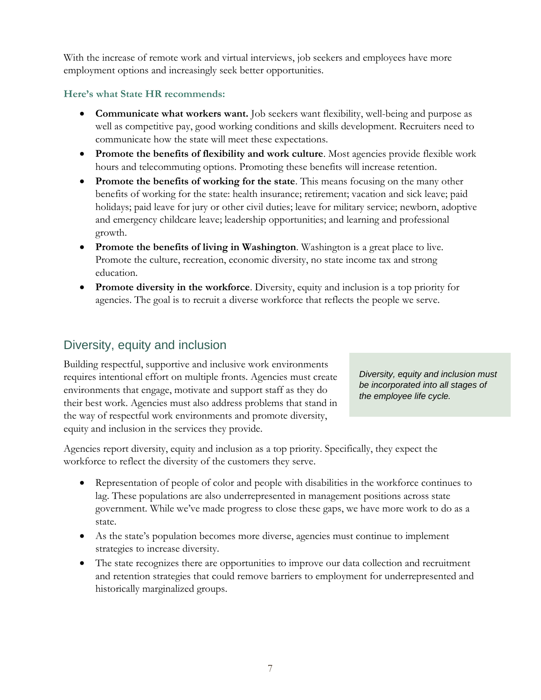With the increase of remote work and virtual interviews, job seekers and employees have more employment options and increasingly seek better opportunities.

#### **Here's what State HR recommends:**

- **Communicate what workers want.** Job seekers want flexibility, well-being and purpose as well as competitive pay, good working conditions and skills development. Recruiters need to communicate how the state will meet these expectations.
- **Promote the benefits of flexibility and work culture**. Most agencies provide flexible work hours and telecommuting options. Promoting these benefits will increase retention.
- **Promote the benefits of working for the state**. This means focusing on the many other benefits of working for the state: health insurance; retirement; vacation and sick leave; paid holidays; paid leave for jury or other civil duties; leave for military service; newborn, adoptive and emergency childcare leave; leadership opportunities; and learning and professional growth.
- **Promote the benefits of living in Washington**. Washington is a great place to live. Promote the culture, recreation, economic diversity, no state income tax and strong education.
- **Promote diversity in the workforce**. Diversity, equity and inclusion is a top priority for agencies. The goal is to recruit a diverse workforce that reflects the people we serve.

## Diversity, equity and inclusion

Building respectful, supportive and inclusive work environments requires intentional effort on multiple fronts. Agencies must create environments that engage, motivate and support staff as they do their best work. Agencies must also address problems that stand in the way of respectful work environments and promote diversity, equity and inclusion in the services they provide.

*Diversity, equity and inclusion must be incorporated into all stages of the employee life cycle.* 

Agencies report diversity, equity and inclusion as a top priority. Specifically, they expect the workforce to reflect the diversity of the customers they serve.

- Representation of people of color and people with disabilities in the workforce continues to lag. These populations are also underrepresented in management positions across state government. While we've made progress to close these gaps, we have more work to do as a state.
- As the state's population becomes more diverse, agencies must continue to implement strategies to increase diversity.
- The state recognizes there are opportunities to improve our data collection and recruitment and retention strategies that could remove barriers to employment for underrepresented and historically marginalized groups.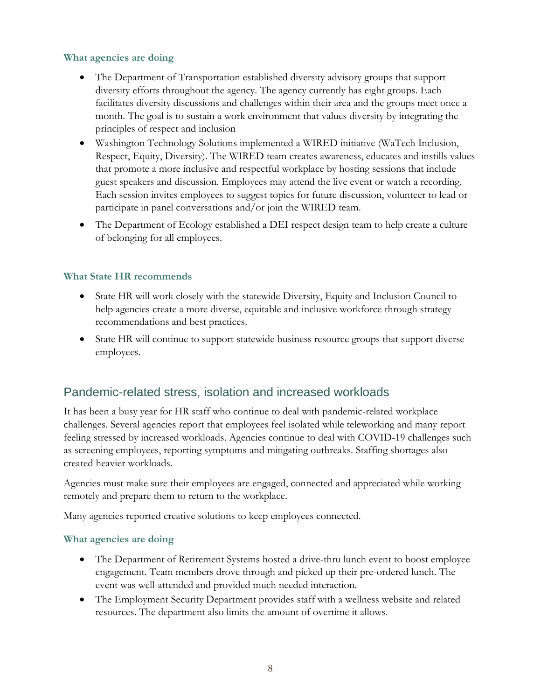#### **What agencies are doing**

- The Department of Transportation established diversity advisory groups that support diversity efforts throughout the agency. The agency currently has eight groups. Each facilitates diversity discussions and challenges within their area and the groups meet once a month. The goal is to sustain a work environment that values diversity by integrating the principles of respect and inclusion
- Washington Technology Solutions implemented a WIRED initiative (WaTech Inclusion, Respect, Equity, Diversity). The WIRED team creates awareness, educates and instills values that promote a more inclusive and respectful workplace by hosting sessions that include guest speakers and discussion. Employees may attend the live event or watch a recording. Each session invites employees to suggest topics for future discussion, volunteer to lead or participate in panel conversations and/or join the WIRED team.
- The Department of Ecology established a DEI respect design team to help create a culture of belonging for all employees.

#### **What State HR recommends**

- State HR will work closely with the statewide Diversity, Equity and Inclusion Council to help agencies create a more diverse, equitable and inclusive workforce through strategy recommendations and best practices.
- State HR will continue to support statewide business resource groups that support diverse employees.

## Pandemic-related stress, isolation and increased workloads

It has been a busy year for HR staff who continue to deal with pandemic-related workplace challenges. Several agencies report that employees feel isolated while teleworking and many report feeling stressed by increased workloads. Agencies continue to deal with COVID-19 challenges such as screening employees, reporting symptoms and mitigating outbreaks. Staffing shortages also created heavier workloads.

Agencies must make sure their employees are engaged, connected and appreciated while working remotely and prepare them to return to the workplace.

Many agencies reported creative solutions to keep employees connected.

#### **What agencies are doing**

- The Department of Retirement Systems hosted a drive-thru lunch event to boost employee engagement. Team members drove through and picked up their pre-ordered lunch. The event was well-attended and provided much needed interaction.
- The Employment Security Department provides staff with a wellness website and related resources. The department also limits the amount of overtime it allows.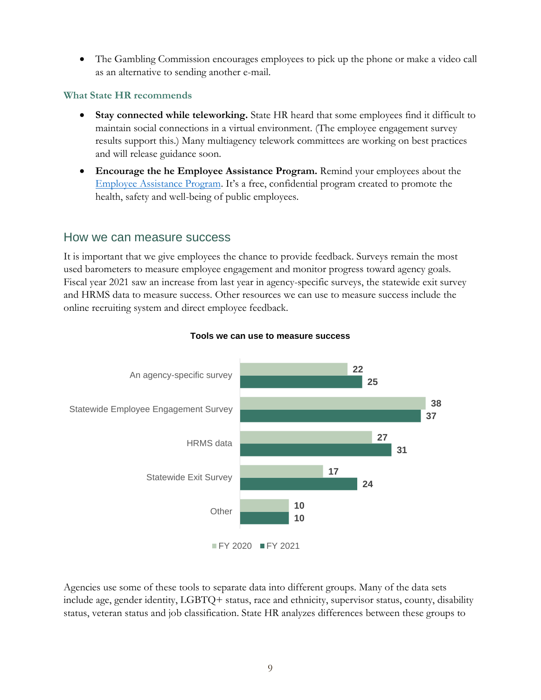• The Gambling Commission encourages employees to pick up the phone or make a video call as an alternative to sending another e-mail.

#### **What State HR recommends**

- **Stay connected while teleworking.** State HR heard that some employees find it difficult to maintain social connections in a virtual environment. (The employee engagement survey results support this.) Many multiagency telework committees are working on best practices and will release guidance soon.
- **Encourage the he Employee Assistance Program.** Remind your employees about the [Employee Assistance Program](https://des.wa.gov/services/hr-finance/washington-state-employee-assistance-program-eap#:~:text=The%20Washington%20State%20Employee%20Assistance%20Program%20%28EAP%29%20is,to%20assist%20employees%20with%20legal%20and%20financial%20concerns.). It's a free, confidential program created to promote the health, safety and well-being of public employees.

#### How we can measure success

It is important that we give employees the chance to provide feedback. Surveys remain the most used barometers to measure employee engagement and monitor progress toward agency goals. Fiscal year 2021 saw an increase from last year in agency-specific surveys, the statewide exit survey and HRMS data to measure success. Other resources we can use to measure success include the online recruiting system and direct employee feedback.



#### **Tools we can use to measure success**

Agencies use some of these tools to separate data into different groups. Many of the data sets include age, gender identity, LGBTQ+ status, race and ethnicity, supervisor status, county, disability status, veteran status and job classification. State HR analyzes differences between these groups to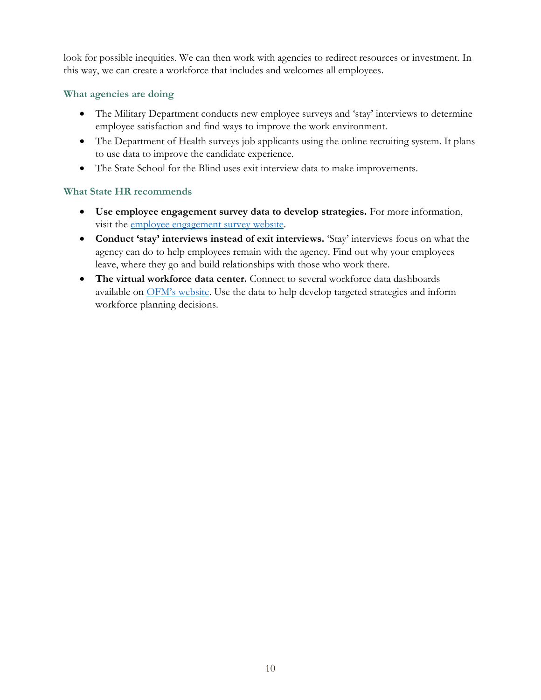look for possible inequities. We can then work with agencies to redirect resources or investment. In this way, we can create a workforce that includes and welcomes all employees.

#### **What agencies are doing**

- The Military Department conducts new employee surveys and 'stay' interviews to determine employee satisfaction and find ways to improve the work environment.
- The Department of Health surveys job applicants using the online recruiting system. It plans to use data to improve the candidate experience.
- The State School for the Blind uses exit interview data to make improvements.

#### **What State HR recommends**

- **Use employee engagement survey data to develop strategies.** For more information, visit the [employee engagement survey website.](https://www.ofm.wa.gov/state-human-resources/workforce-data-planning/state-employee-engagement-survey)
- **Conduct 'stay' interviews instead of exit interviews.** 'Stay' interviews focus on what the agency can do to help employees remain with the agency. Find out why your employees leave, where they go and build relationships with those who work there.
- **The virtual workforce data center.** Connect to several workforce data dashboards available on [OFM's website](https://ofm.wa.gov/state-human-resources/workforce-data-planning/virtual-workforce-data-center). Use the data to help develop targeted strategies and inform workforce planning decisions.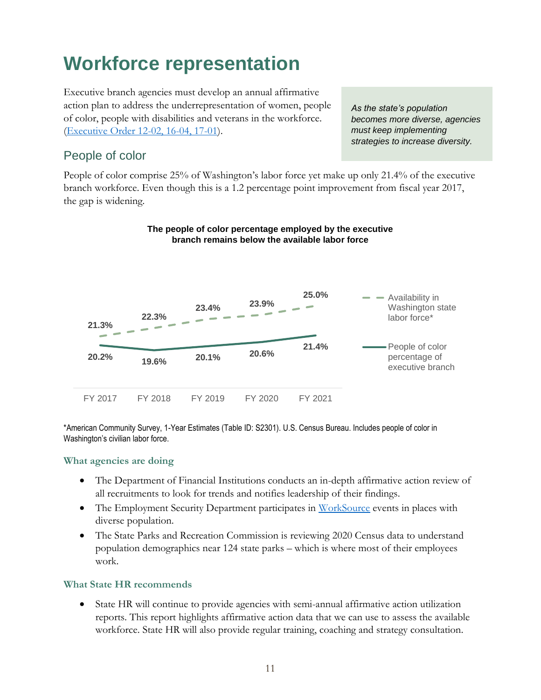## <span id="page-11-0"></span>**Workforce representation**

Executive branch agencies must develop an annual affirmative action plan to address the underrepresentation of women, people of color, people with disabilities and veterans in the workforce. [\(Executive Order 12-02,](https://www.governor.wa.gov/sites/default/files/exe_order/eo_12-02.pdf) [16-04,](https://www.governor.wa.gov/sites/default/files/exe_order/eo_16-04.pdf) [17-01\)](https://www.governor.wa.gov/sites/default/files/exe_order/eo_17-01.pdf).

*As the state's population becomes more diverse, agencies must keep implementing strategies to increase diversity.*

### People of color

People of color comprise 25% of Washington's labor force yet make up only 21.4% of the executive branch workforce. Even though this is a 1.2 percentage point improvement from fiscal year 2017, the gap is widening.



#### **The people of color percentage employed by the executive branch remains below the available labor force**

\*American Community Survey, 1-Year Estimates (Table ID: S2301). U.S. Census Bureau. Includes people of color in Washington's civilian labor force.

#### **What agencies are doing**

- The Department of Financial Institutions conducts an in-depth affirmative action review of all recruitments to look for trends and notifies leadership of their findings.
- The Employment Security Department participates in [WorkSource](https://worksourcewa.com/) events in places with diverse population.
- The State Parks and Recreation Commission is reviewing 2020 Census data to understand population demographics near 124 state parks – which is where most of their employees work.

#### **What State HR recommends**

• State HR will continue to provide agencies with semi-annual affirmative action utilization reports. This report highlights affirmative action data that we can use to assess the available workforce. State HR will also provide regular training, coaching and strategy consultation.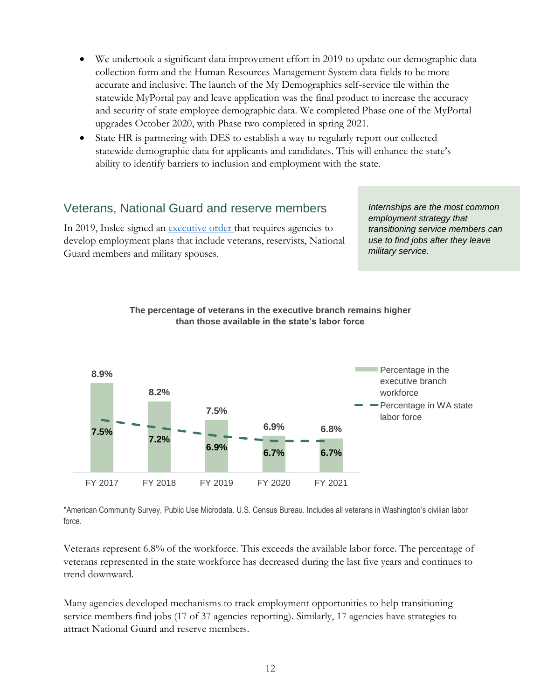- We undertook a significant data improvement effort in 2019 to update our demographic data collection form and the Human Resources Management System data fields to be more accurate and inclusive. The launch of the My Demographics self-service tile within the statewide MyPortal pay and leave application was the final product to increase the accuracy and security of state employee demographic data. We completed Phase one of the MyPortal upgrades October 2020, with Phase two completed in spring 2021.
- State HR is partnering with DES to establish a way to regularly report our collected statewide demographic data for applicants and candidates. This will enhance the state's ability to identify barriers to inclusion and employment with the state.

## Veterans, National Guard and reserve members

In 2019, Inslee signed an [executive order t](https://www.governor.wa.gov/sites/default/files/exe_order/19-01_VeteranAndMilitaryFamily%20.pdf)hat requires agencies to develop employment plans that include veterans, reservists, National Guard members and military spouses.

*Internships are the most common employment strategy that transitioning service members can use to find jobs after they leave military service.*





\*American Community Survey, Public Use Microdata. U.S. Census Bureau. Includes all veterans in Washington's civilian labor force.

Veterans represent 6.8% of the workforce. This exceeds the available labor force. The percentage of veterans represented in the state workforce has decreased during the last five years and continues to trend downward.

Many agencies developed mechanisms to track employment opportunities to help transitioning service members find jobs (17 of 37 agencies reporting). Similarly, 17 agencies have strategies to attract National Guard and reserve members.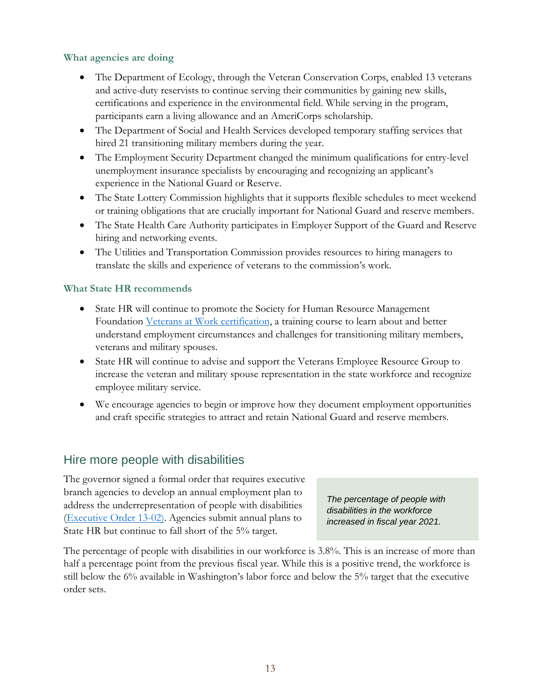#### **What agencies are doing**

- The Department of Ecology, through the Veteran Conservation Corps, enabled 13 veterans and active-duty reservists to continue serving their communities by gaining new skills, certifications and experience in the environmental field. While serving in the program, participants earn a living allowance and an AmeriCorps scholarship.
- The Department of Social and Health Services developed temporary staffing services that hired 21 transitioning military members during the year.
- The Employment Security Department changed the minimum qualifications for entry-level unemployment insurance specialists by encouraging and recognizing an applicant's experience in the National Guard or Reserve.
- The State Lottery Commission highlights that it supports flexible schedules to meet weekend or training obligations that are crucially important for National Guard and reserve members.
- The State Health Care Authority participates in Employer Support of the Guard and Reserve hiring and networking events.
- The Utilities and Transportation Commission provides resources to hiring managers to translate the skills and experience of veterans to the commission's work.

#### **What State HR recommends**

- State HR will continue to promote the Society for Human Resource Management Foundation [Veterans at Work certification,](https://www.veteransatwork.org/) a training course to learn about and better understand employment circumstances and challenges for transitioning military members, veterans and military spouses.
- State HR will continue to advise and support the Veterans Employee Resource Group to increase the veteran and military spouse representation in the state workforce and recognize employee military service.
- We encourage agencies to begin or improve how they document employment opportunities and craft specific strategies to attract and retain National Guard and reserve members.

### Hire more people with disabilities

The governor signed a formal order that requires executive branch agencies to develop an annual employment plan to address the underrepresentation of people with disabilities [\(Executive Order 13-02\)](https://www.governor.wa.gov/sites/default/files/exe_order/eo_13-02.pdf). Agencies submit annual plans to State HR but continue to fall short of the 5% target.

*The percentage of people with disabilities in the workforce increased in fiscal year 2021.*

The percentage of people with disabilities in our workforce is 3.8%. This is an increase of more than half a percentage point from the previous fiscal year. While this is a positive trend, the workforce is still below the 6% available in Washington's labor force and below the 5% target that the executive order sets.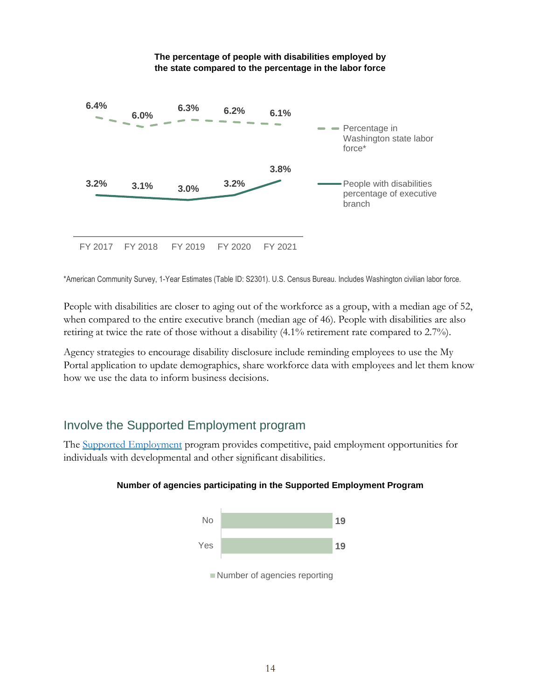

**The percentage of people with disabilities employed by** 

\*American Community Survey, 1-Year Estimates (Table ID: S2301). U.S. Census Bureau. Includes Washington civilian labor force.

People with disabilities are closer to aging out of the workforce as a group, with a median age of 52, when compared to the entire executive branch (median age of 46). People with disabilities are also retiring at twice the rate of those without a disability (4.1% retirement rate compared to 2.7%).

Agency strategies to encourage disability disclosure include reminding employees to use the My Portal application to update demographics, share workforce data with employees and let them know how we use the data to inform business decisions.

## Involve the Supported Employment program

The [Supported Employment](https://ofm.wa.gov/state-human-resources/workforce-diversity-equity-and-inclusion/persons-disabilities-state-government/supported-employment-state-government-sesg) program provides competitive, paid employment opportunities for individuals with developmental and other significant disabilities.





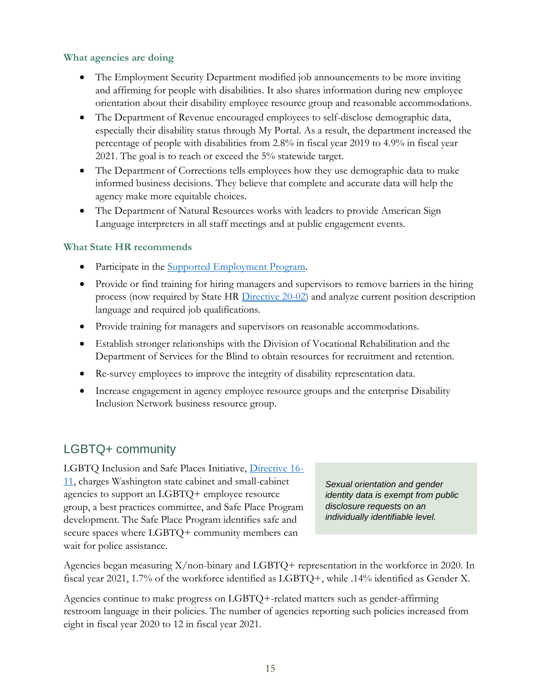#### **What agencies are doing**

- The Employment Security Department modified job announcements to be more inviting and affirming for people with disabilities. It also shares information during new employee orientation about their disability employee resource group and reasonable accommodations.
- The Department of Revenue encouraged employees to self-disclose demographic data, especially their disability status through My Portal. As a result, the department increased the percentage of people with disabilities from 2.8% in fiscal year 2019 to 4.9% in fiscal year 2021. The goal is to reach or exceed the 5% statewide target.
- The Department of Corrections tells employees how they use demographic data to make informed business decisions. They believe that complete and accurate data will help the agency make more equitable choices.
- The Department of Natural Resources works with leaders to provide American Sign Language interpreters in all staff meetings and at public engagement events.

#### **What State HR recommends**

- Participate in the [Supported Employment Program.](https://ofm.wa.gov/state-human-resources/workforce-diversity-equity-and-inclusion/persons-disabilities-state-government/supported-employment-state-government-sesg)
- Provide or find training for hiring managers and supervisors to remove barriers in the hiring process (now required by State HR [Directive 20-02\)](https://www.ofm.wa.gov/sites/default/files/public/shr/Directives/WorkforceDiversityDirective.pdf) and analyze current position description language and required job qualifications.
- Provide training for managers and supervisors on reasonable accommodations.
- Establish stronger relationships with the Division of Vocational Rehabilitation and the Department of Services for the Blind to obtain resources for recruitment and retention.
- Re-survey employees to improve the integrity of disability representation data.
- Increase engagement in agency employee resource groups and the enterprise Disability Inclusion Network business resource group.

## LGBTQ+ community

LGBTQ Inclusion and Safe Places Initiative, [Directive 16-](https://www.governor.wa.gov/sites/default/files/directive/dir_16-11_0.pdf) [11,](https://www.governor.wa.gov/sites/default/files/directive/dir_16-11_0.pdf) charges Washington state cabinet and small-cabinet agencies to support an LGBTQ+ employee resource group, a best practices committee, and Safe Place Program development. The Safe Place Program identifies safe and secure spaces where LGBTQ+ community members can wait for police assistance.

*Sexual orientation and gender identity data is exempt from public disclosure requests on an individually identifiable level.*

```
Agencies began measuring X/non-binary and LGBTQ+ representation in the workforce in 2020. In 
fiscal year 2021, 1.7% of the workforce identified as LGBTQ+, while .14% identified as Gender X.
```
Agencies continue to make progress on LGBTQ+-related matters such as gender-affirming restroom language in their policies. The number of agencies reporting such policies increased from eight in fiscal year 2020 to 12 in fiscal year 2021.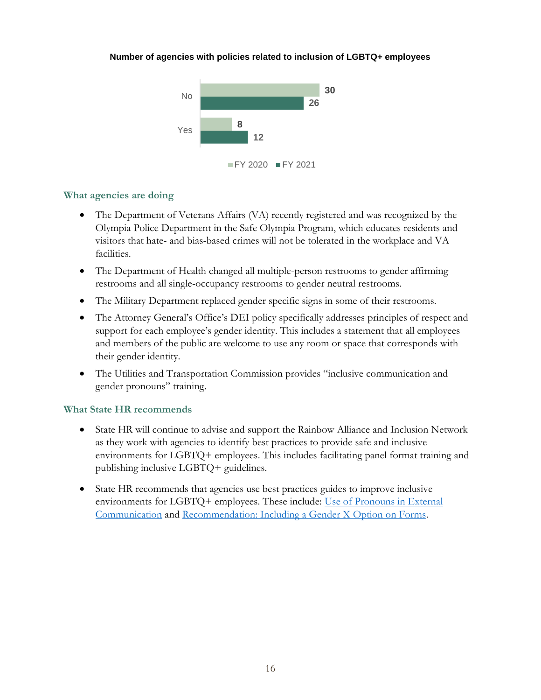#### **Number of agencies with policies related to inclusion of LGBTQ+ employees**



#### **What agencies are doing**

- The Department of Veterans Affairs (VA) recently registered and was recognized by the Olympia Police Department in the Safe Olympia Program, which educates residents and visitors that hate- and bias-based crimes will not be tolerated in the workplace and VA facilities.
- The Department of Health changed all multiple-person restrooms to gender affirming restrooms and all single-occupancy restrooms to gender neutral restrooms.
- The Military Department replaced gender specific signs in some of their restrooms.
- The Attorney General's Office's DEI policy specifically addresses principles of respect and support for each employee's gender identity. This includes a statement that all employees and members of the public are welcome to use any room or space that corresponds with their gender identity.
- The Utilities and Transportation Commission provides "inclusive communication and gender pronouns" training.

#### **What State HR recommends**

- State HR will continue to advise and support the Rainbow Alliance and Inclusion Network as they work with agencies to identify best practices to provide safe and inclusive environments for LGBTQ+ employees. This includes facilitating panel format training and publishing inclusive LGBTQ+ guidelines.
- State HR recommends that agencies use best practices guides to improve inclusive environments for LGBTQ+ employees. These include: [Use of Pronouns in External](https://ofm.wa.gov/sites/default/files/public/shr/Diversity/BRGs/Pronouns%20Compilation%20Best%20Practices.pdf)  [Communication](https://ofm.wa.gov/sites/default/files/public/shr/Diversity/BRGs/Pronouns%20Compilation%20Best%20Practices.pdf) and [Recommendation: Including a Gender X Option on Forms.](https://lgbtq.wa.gov/sites/default/files/2020-12/X-Nonbinary.pdf)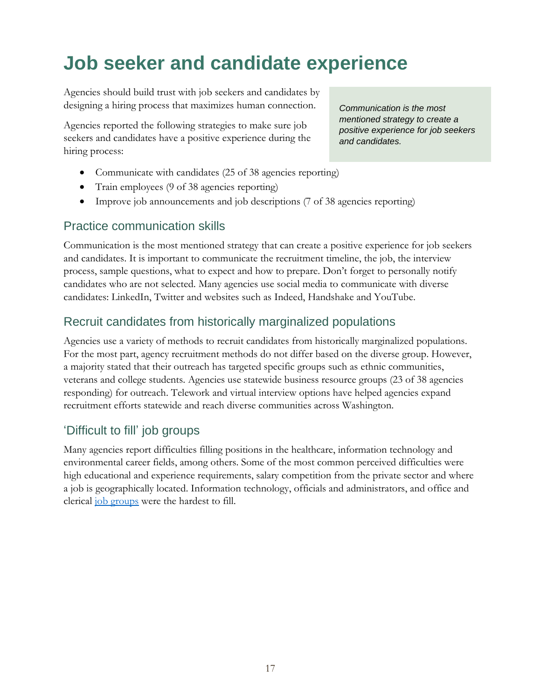## <span id="page-17-0"></span>**Job seeker and candidate experience**

Agencies should build trust with job seekers and candidates by designing a hiring process that maximizes human connection.

Agencies reported the following strategies to make sure job seekers and candidates have a positive experience during the hiring process:

- Communicate with candidates (25 of 38 agencies reporting)
- Train employees (9 of 38 agencies reporting)
- Improve job announcements and job descriptions (7 of 38 agencies reporting)

### Practice communication skills

Communication is the most mentioned strategy that can create a positive experience for job seekers and candidates. It is important to communicate the recruitment timeline, the job, the interview process, sample questions, what to expect and how to prepare. Don't forget to personally notify candidates who are not selected. Many agencies use social media to communicate with diverse candidates: LinkedIn, Twitter and websites such as Indeed, Handshake and YouTube.

### Recruit candidates from historically marginalized populations

Agencies use a variety of methods to recruit candidates from historically marginalized populations. For the most part, agency recruitment methods do not differ based on the diverse group. However, a majority stated that their outreach has targeted specific groups such as ethnic communities, veterans and college students. Agencies use statewide business resource groups (23 of 38 agencies responding) for outreach. Telework and virtual interview options have helped agencies expand recruitment efforts statewide and reach diverse communities across Washington.

### 'Difficult to fill' job groups

Many agencies report difficulties filling positions in the healthcare, information technology and environmental career fields, among others. Some of the most common perceived difficulties were high educational and experience requirements, salary competition from the private sector and where a job is geographically located. Information technology, officials and administrators, and office and clerical [job groups](https://ofm.wa.gov/state-human-resources/workforce-data-planning/workforce-planning/job-groups) were the hardest to fill.

*Communication is the most mentioned strategy to create a positive experience for job seekers and candidates.*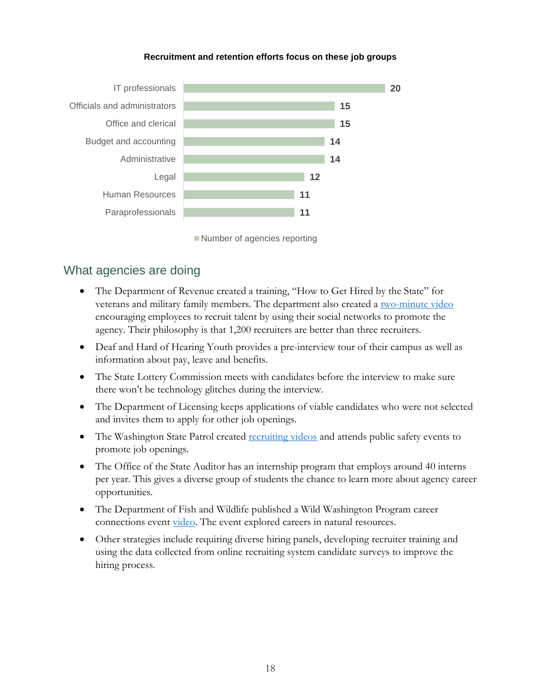

#### **Recruitment and retention efforts focus on these job groups**

Number of agencies reporting

### What agencies are doing

- The Department of Revenue created a training, "How to Get Hired by the State" for veterans and military family members. The department also created a [two-minute video](https://www.youtube.com/watch?v=E1QBKkNZet8) encouraging employees to recruit talent by using their social networks to promote the agency. Their philosophy is that 1,200 recruiters are better than three recruiters.
- Deaf and Hard of Hearing Youth provides a pre-interview tour of their campus as well as information about pay, leave and benefits.
- The State Lottery Commission meets with candidates before the interview to make sure there won't be technology glitches during the interview.
- The Department of Licensing keeps applications of viable candidates who were not selected and invites them to apply for other job openings.
- The Washington State Patrol created <u>recruiting videos</u> and attends public safety events to promote job openings.
- The Office of the State Auditor has an internship program that employs around 40 interns per year. This gives a diverse group of students the chance to learn more about agency career opportunities.
- The Department of Fish and Wildlife published a Wild Washington Program career connections event [video.](https://www.youtube.com/watch?v=DN9SxXb0w_c) The event explored careers in natural resources.
- Other strategies include requiring diverse hiring panels, developing recruiter training and using the data collected from online recruiting system candidate surveys to improve the hiring process.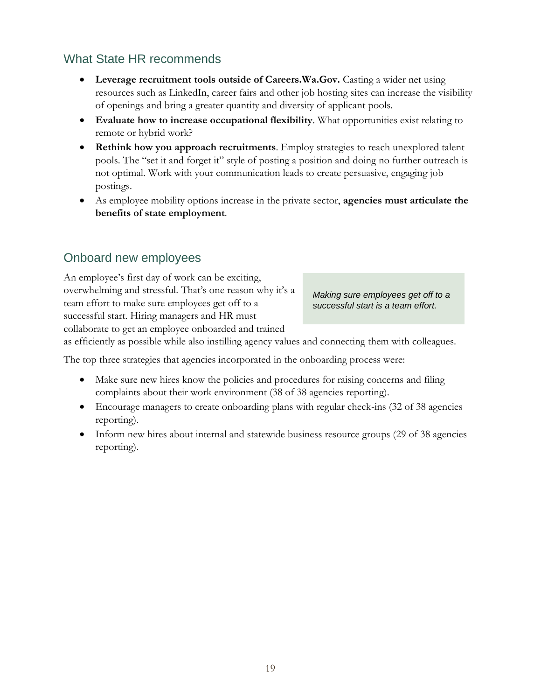## What State HR recommends

- Leverage recruitment tools outside of Careers.Wa.Gov. Casting a wider net using resources such as LinkedIn, career fairs and other job hosting sites can increase the visibility of openings and bring a greater quantity and diversity of applicant pools.
- **Evaluate how to increase occupational flexibility**. What opportunities exist relating to remote or hybrid work?
- **Rethink how you approach recruitments**. Employ strategies to reach unexplored talent pools. The "set it and forget it" style of posting a position and doing no further outreach is not optimal. Work with your communication leads to create persuasive, engaging job postings.
- As employee mobility options increase in the private sector, **agencies must articulate the benefits of state employment**.

## Onboard new employees

An employee's first day of work can be exciting, overwhelming and stressful. That's one reason why it's a team effort to make sure employees get off to a successful start. Hiring managers and HR must collaborate to get an employee onboarded and trained

*Making sure employees get off to a successful start is a team effort.*

as efficiently as possible while also instilling agency values and connecting them with colleagues.

The top three strategies that agencies incorporated in the onboarding process were:

- Make sure new hires know the policies and procedures for raising concerns and filing complaints about their work environment (38 of 38 agencies reporting).
- Encourage managers to create onboarding plans with regular check-ins (32 of 38 agencies reporting).
- Inform new hires about internal and statewide business resource groups (29 of 38 agencies reporting).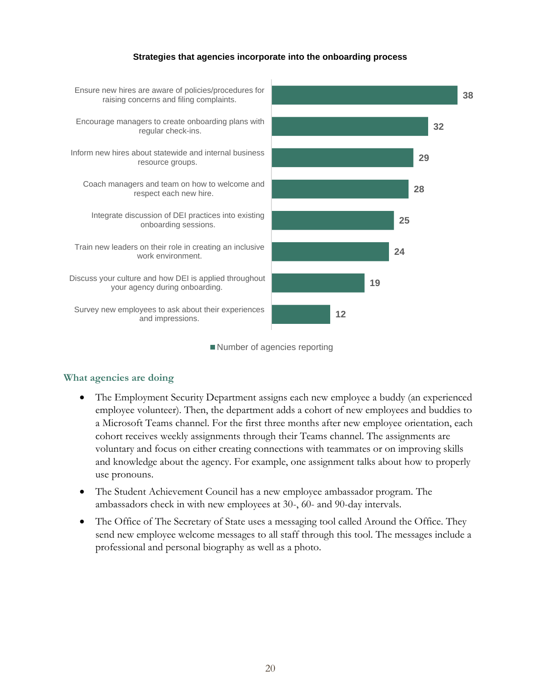#### **Strategies that agencies incorporate into the onboarding process**



Number of agencies reporting

#### **What agencies are doing**

- The Employment Security Department assigns each new employee a buddy (an experienced employee volunteer). Then, the department adds a cohort of new employees and buddies to a Microsoft Teams channel. For the first three months after new employee orientation, each cohort receives weekly assignments through their Teams channel. The assignments are voluntary and focus on either creating connections with teammates or on improving skills and knowledge about the agency. For example, one assignment talks about how to properly use pronouns.
- The Student Achievement Council has a new employee ambassador program. The ambassadors check in with new employees at 30-, 60- and 90-day intervals.
- The Office of The Secretary of State uses a messaging tool called Around the Office. They send new employee welcome messages to all staff through this tool. The messages include a professional and personal biography as well as a photo.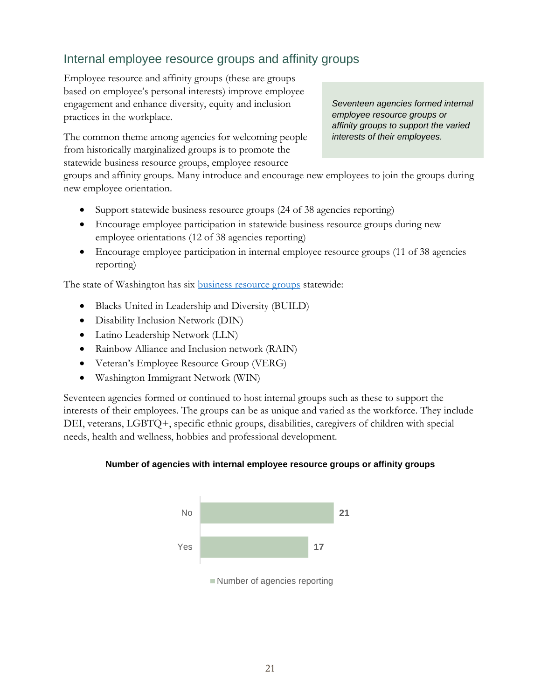## Internal employee resource groups and affinity groups

Employee resource and affinity groups (these are groups based on employee's personal interests) improve employee engagement and enhance diversity, equity and inclusion practices in the workplace.

The common theme among agencies for welcoming people from historically marginalized groups is to promote the statewide business resource groups, employee resource

*Seventeen agencies formed internal employee resource groups or affinity groups to support the varied interests of their employees.*

groups and affinity groups. Many introduce and encourage new employees to join the groups during new employee orientation.

- Support statewide business resource groups (24 of 38 agencies reporting)
- Encourage employee participation in statewide business resource groups during new employee orientations (12 of 38 agencies reporting)
- Encourage employee participation in internal employee resource groups (11 of 38 agencies reporting)

The state of Washington has six **business** resource groups statewide:

- Blacks United in Leadership and Diversity (BUILD)
- Disability Inclusion Network (DIN)
- Latino Leadership Network (LLN)
- Rainbow Alliance and Inclusion network (RAIN)
- Veteran's Employee Resource Group (VERG)
- Washington Immigrant Network (WIN)

Seventeen agencies formed or continued to host internal groups such as these to support the interests of their employees. The groups can be as unique and varied as the workforce. They include DEI, veterans, LGBTQ+, specific ethnic groups, disabilities, caregivers of children with special needs, health and wellness, hobbies and professional development.

#### **Number of agencies with internal employee resource groups or affinity groups**

![](_page_21_Figure_17.jpeg)

Number of agencies reporting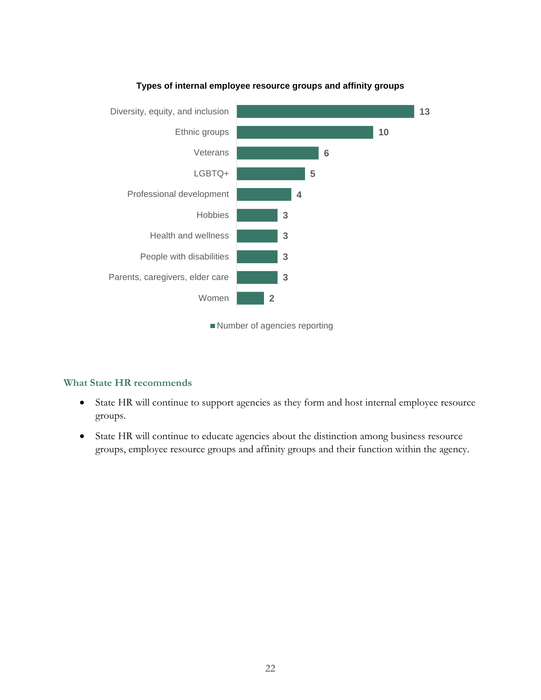![](_page_22_Figure_0.jpeg)

#### **Types of internal employee resource groups and affinity groups**

Number of agencies reporting

#### **What State HR recommends**

- State HR will continue to support agencies as they form and host internal employee resource groups.
- State HR will continue to educate agencies about the distinction among business resource groups, employee resource groups and affinity groups and their function within the agency.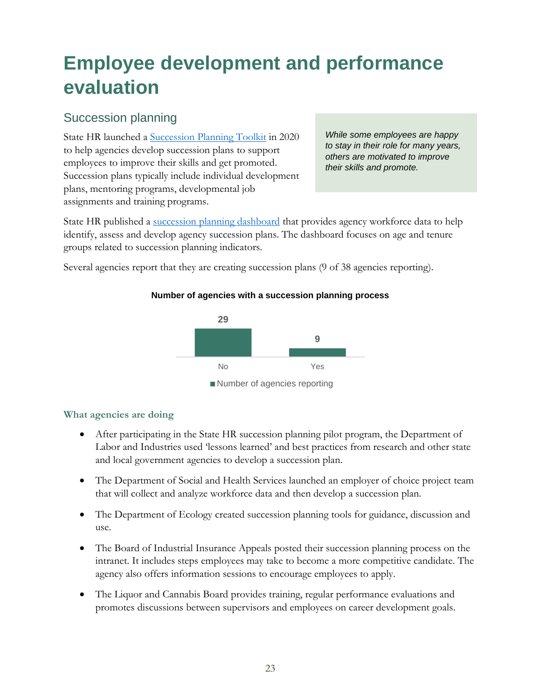## <span id="page-23-0"></span>**Employee development and performance evaluation**

## Succession planning

State HR launched a Succession [Planning Toolkit](https://ofm.wa.gov/sites/default/files/public/shr/WorkforceData/Successionplanning/SPToolkit_EB1.pdf) in 2020 to help agencies develop succession plans to support employees to improve their skills and get promoted. Succession plans typically include individual development plans, mentoring programs, developmental job assignments and training programs.

*While some employees are happy to stay in their role for many years, others are motivated to improve their skills and promote.*

State HR published a [succession planning dashboard](https://ofm.wa.gov/state-human-resources/workforce-data-planning/workforce-planning/levels-workforce-planning) that provides agency workforce data to help identify, assess and develop agency succession plans. The dashboard focuses on age and tenure groups related to succession planning indicators.

Several agencies report that they are creating succession plans (9 of 38 agencies reporting).

#### **Number of agencies with a succession planning process**

![](_page_23_Figure_7.jpeg)

#### **What agencies are doing**

- After participating in the State HR succession planning pilot program, the Department of Labor and Industries used 'lessons learned' and best practices from research and other state and local government agencies to develop a succession plan.
- The Department of Social and Health Services launched an employer of choice project team that will collect and analyze workforce data and then develop a succession plan.
- The Department of Ecology created succession planning tools for guidance, discussion and use.
- The Board of Industrial Insurance Appeals posted their succession planning process on the intranet. It includes steps employees may take to become a more competitive candidate. The agency also offers information sessions to encourage employees to apply.
- The Liquor and Cannabis Board provides training, regular performance evaluations and promotes discussions between supervisors and employees on career development goals.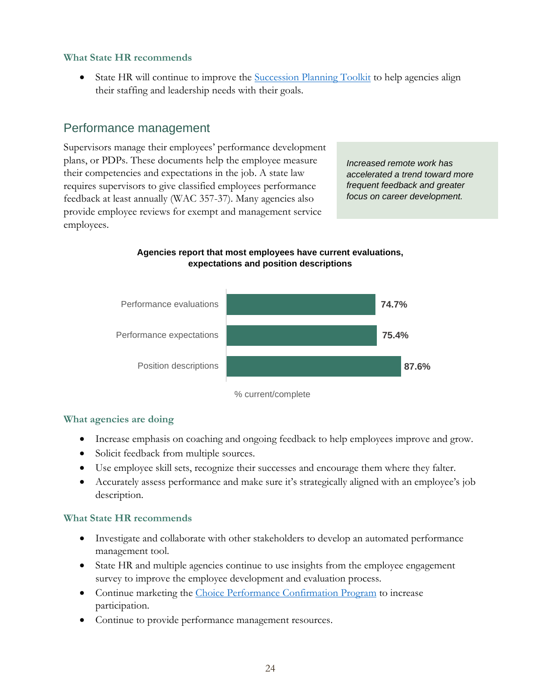#### **What State HR recommends**

State HR will continue to improve the [Succession Planning Toolkit](https://ofm.wa.gov/state-human-resources/workforce-data-planning/workforce-planning/levels-workforce-planning) to help agencies align their staffing and leadership needs with their goals.

### Performance management

Supervisors manage their employees' performance development plans, or PDPs. These documents help the employee measure their competencies and expectations in the job. A state law requires supervisors to give classified employees performance feedback at least annually (WAC 357-37). Many agencies also provide employee reviews for exempt and management service employees.

*Increased remote work has accelerated a trend toward more frequent feedback and greater focus on career development.*

#### **Agencies report that most employees have current evaluations, expectations and position descriptions**

![](_page_24_Figure_6.jpeg)

#### **What agencies are doing**

- Increase emphasis on coaching and ongoing feedback to help employees improve and grow.
- Solicit feedback from multiple sources.
- Use employee skill sets, recognize their successes and encourage them where they falter.
- Accurately assess performance and make sure it's strategically aligned with an employee's job description.

#### **What State HR recommends**

- Investigate and collaborate with other stakeholders to develop an automated performance management tool.
- State HR and multiple agencies continue to use insights from the employee engagement survey to improve the employee development and evaluation process.
- Continue marketing the [Choice Performance Confirmation Program](https://ofm.wa.gov/state-human-resources/workforce-data-planning/employee-performance-management/choice-performance-confirmation-program) to increase participation.
- Continue to provide performance management resources.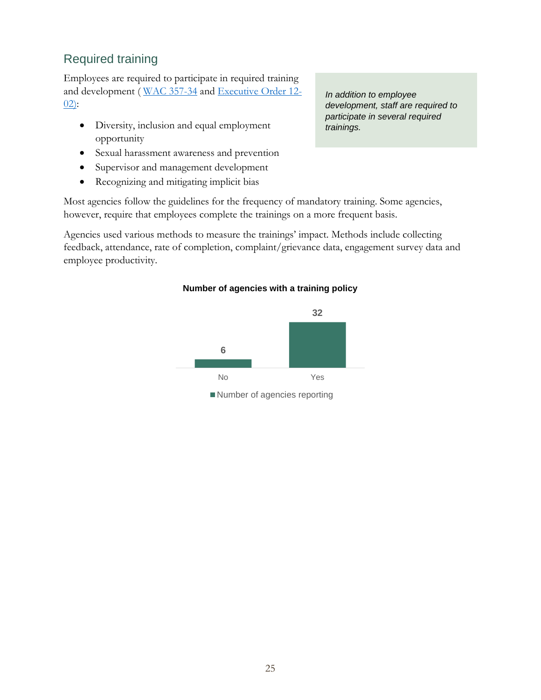## Required training

Employees are required to participate in required training and development ( [WAC 357-34](http://apps.leg.wa.gov/WAC/default.aspx?cite=357-34) and [Executive Order 12-](http://www.governor.wa.gov/sites/default/files/exe_order/eo_12-02.pdf) [02\)](http://www.governor.wa.gov/sites/default/files/exe_order/eo_12-02.pdf):

- Diversity, inclusion and equal employment opportunity
- Sexual harassment awareness and prevention
- Supervisor and management development
- Recognizing and mitigating implicit bias

Most agencies follow the guidelines for the frequency of mandatory training. Some agencies, however, require that employees complete the trainings on a more frequent basis.

Agencies used various methods to measure the trainings' impact. Methods include collecting feedback, attendance, rate of completion, complaint/grievance data, engagement survey data and employee productivity.

#### **Number of agencies with a training policy**

![](_page_25_Figure_9.jpeg)

*In addition to employee development, staff are required to participate in several required trainings.*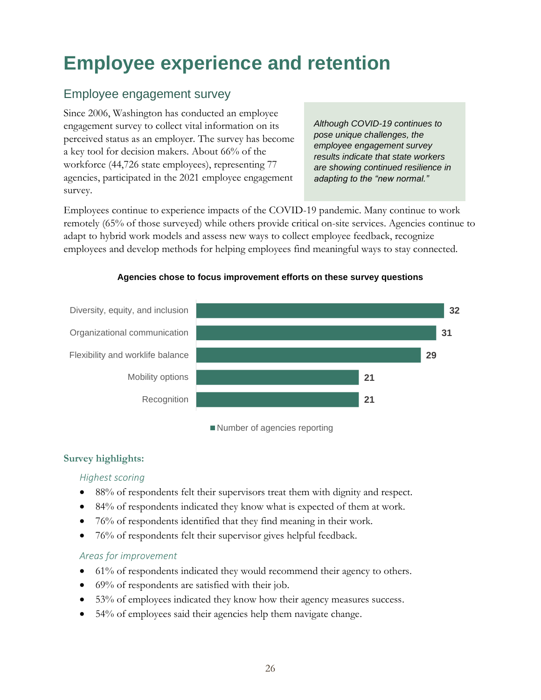## <span id="page-26-0"></span>**Employee experience and retention**

## Employee engagement survey

Since 2006, Washington has conducted an employee engagement survey to collect vital information on its perceived status as an employer. The survey has become a key tool for decision makers. About 66% of the workforce (44,726 state employees), representing 77 agencies, participated in the 2021 employee engagement survey.

*Although COVID-19 continues to pose unique challenges, the employee engagement survey results indicate that state workers are showing continued resilience in adapting to the "new normal."*

Employees continue to experience impacts of the COVID-19 pandemic. Many continue to work remotely (65% of those surveyed) while others provide critical on-site services. Agencies continue to adapt to hybrid work models and assess new ways to collect employee feedback, recognize employees and develop methods for helping employees find meaningful ways to stay connected.

![](_page_26_Figure_5.jpeg)

#### **Agencies chose to focus improvement efforts on these survey questions**

Number of agencies reporting

#### **Survey highlights:**

#### *Highest scoring*

- 88% of respondents felt their supervisors treat them with dignity and respect.
- 84% of respondents indicated they know what is expected of them at work.
- 76% of respondents identified that they find meaning in their work.
- 76% of respondents felt their supervisor gives helpful feedback.

#### *Areas for improvement*

- 61% of respondents indicated they would recommend their agency to others.
- 69% of respondents are satisfied with their job.
- 53% of employees indicated they know how their agency measures success.
- 54% of employees said their agencies help them navigate change.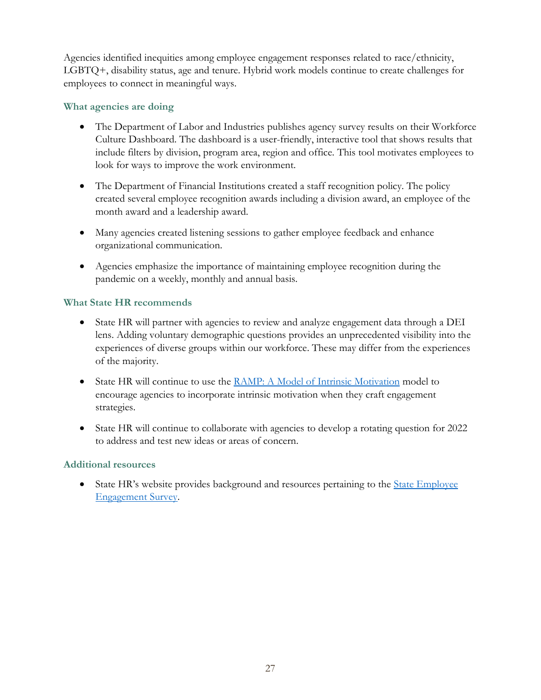Agencies identified inequities among employee engagement responses related to race/ethnicity, LGBTQ+, disability status, age and tenure. Hybrid work models continue to create challenges for employees to connect in meaningful ways.

#### **What agencies are doing**

- The Department of Labor and Industries publishes agency survey results on their Workforce Culture Dashboard. The dashboard is a user-friendly, interactive tool that shows results that include filters by division, program area, region and office. This tool motivates employees to look for ways to improve the work environment.
- The Department of Financial Institutions created a staff recognition policy. The policy created several employee recognition awards including a division award, an employee of the month award and a leadership award.
- Many agencies created listening sessions to gather employee feedback and enhance organizational communication.
- Agencies emphasize the importance of maintaining employee recognition during the pandemic on a weekly, monthly and annual basis.

#### **What State HR recommends**

- State HR will partner with agencies to review and analyze engagement data through a DEI lens. Adding voluntary demographic questions provides an unprecedented visibility into the experiences of diverse groups within our workforce. These may differ from the experiences of the majority.
- State HR will continue to use the [RAMP: A Model of Intrinsic Motivation](https://ofm.wa.gov/sites/default/files/public/shr/RAMP%20Handout.pdf) model to encourage agencies to incorporate intrinsic motivation when they craft engagement strategies.
- State HR will continue to collaborate with agencies to develop a rotating question for 2022 to address and test new ideas or areas of concern.

#### **Additional resources**

• State HR's website provides background and resources pertaining to the State Employee [Engagement Survey.](https://ofm.wa.gov/state-human-resources/workforce-data-planning/state-employee-engagement-survey)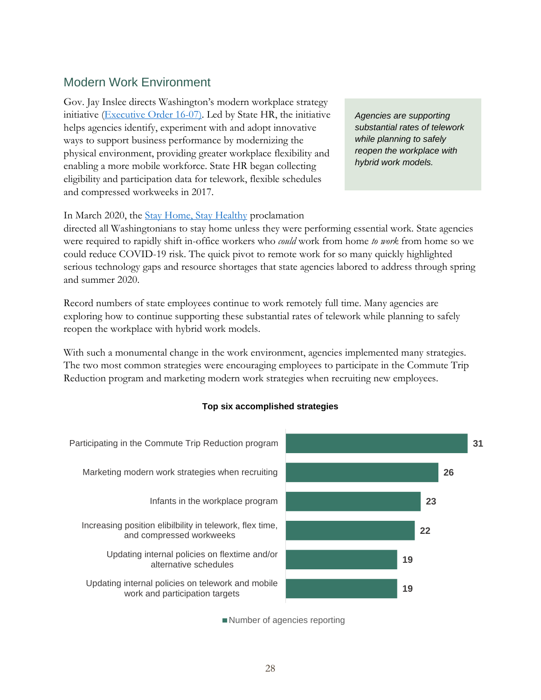### Modern Work Environment

Gov. Jay Inslee directs Washington's modern workplace strategy initiative [\(Executive Order 16-07\)](https://www.governor.wa.gov/sites/default/files/exe_order/eo_16-07.pdf). Led by State HR, the initiative helps agencies identify, experiment with and adopt innovative ways to support business performance by modernizing the physical environment, providing greater workplace flexibility and enabling a more mobile workforce. State HR began collecting eligibility and participation data for telework, flexible schedules and compressed workweeks in 2017.

*Agencies are supporting substantial rates of telework while planning to safely reopen the workplace with hybrid work models.* 

In March 2020, the *Stay Home*, *Stay Healthy* proclamation

directed all Washingtonians to stay home unless they were performing essential work. State agencies were required to rapidly shift in-office workers who *could* work from home *to work* from home so we could reduce COVID-19 risk. The quick pivot to remote work for so many quickly highlighted serious technology gaps and resource shortages that state agencies labored to address through spring and summer 2020.

Record numbers of state employees continue to work remotely full time. Many agencies are exploring how to continue supporting these substantial rates of telework while planning to safely reopen the workplace with hybrid work models.

With such a monumental change in the work environment, agencies implemented many strategies. The two most common strategies were encouraging employees to participate in the Commute Trip Reduction program and marketing modern work strategies when recruiting new employees.

#### **Top six accomplished strategies**

![](_page_28_Figure_8.jpeg)

Number of agencies reporting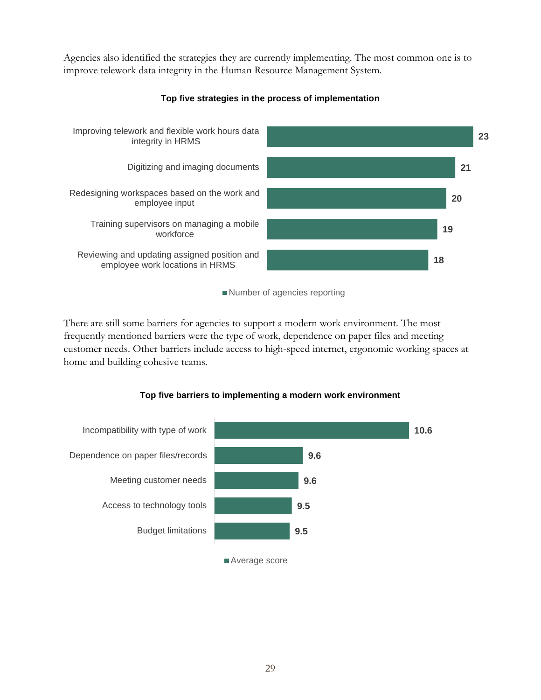Agencies also identified the strategies they are currently implementing. The most common one is to improve telework data integrity in the Human Resource Management System.

![](_page_29_Figure_1.jpeg)

#### **Top five strategies in the process of implementation**

Number of agencies reporting

There are still some barriers for agencies to support a modern work environment. The most frequently mentioned barriers were the type of work, dependence on paper files and meeting customer needs. Other barriers include access to high-speed internet, ergonomic working spaces at home and building cohesive teams.

![](_page_29_Figure_5.jpeg)

#### **Top five barriers to implementing a modern work environment**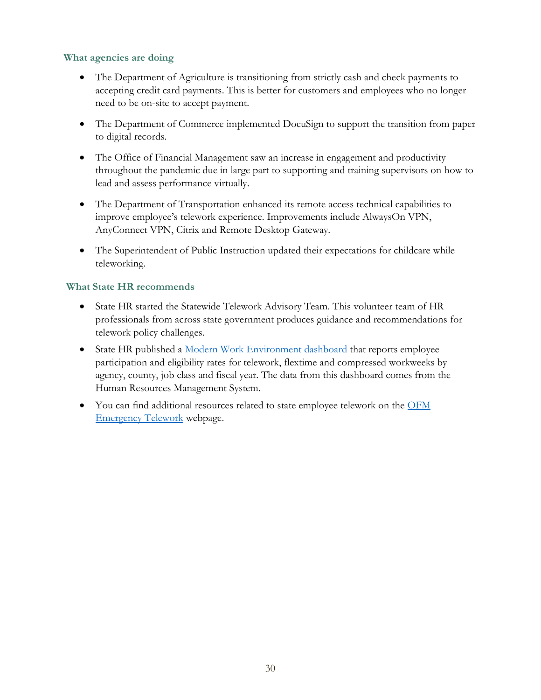#### **What agencies are doing**

- The Department of Agriculture is transitioning from strictly cash and check payments to accepting credit card payments. This is better for customers and employees who no longer need to be on-site to accept payment.
- The Department of Commerce implemented DocuSign to support the transition from paper to digital records.
- The Office of Financial Management saw an increase in engagement and productivity throughout the pandemic due in large part to supporting and training supervisors on how to lead and assess performance virtually.
- The Department of Transportation enhanced its remote access technical capabilities to improve employee's telework experience. Improvements include AlwaysOn VPN, AnyConnect VPN, Citrix and Remote Desktop Gateway.
- The Superintendent of Public Instruction updated their expectations for childcare while teleworking.

#### **What State HR recommends**

- State HR started the Statewide Telework Advisory Team. This volunteer team of HR professionals from across state government produces guidance and recommendations for telework policy challenges.
- State HR published a [Modern Work Environment dashboard t](https://ofm.wa.gov/state-human-resources/workforce-data-planning/hr-management-report/modern-work-environment-dashboard)hat reports employee participation and eligibility rates for telework, flextime and compressed workweeks by agency, county, job class and fiscal year. The data from this dashboard comes from the Human Resources Management System.
- You can find additional resources related to state employee telework on the [OFM](https://ofm.wa.gov/state-human-resources/coronavirus-covid-19-hr-guidance-state-agencies/telework-resources-during-covid-19-pandemic)  [Emergency Telework](https://ofm.wa.gov/state-human-resources/coronavirus-covid-19-hr-guidance-state-agencies/telework-resources-during-covid-19-pandemic) webpage.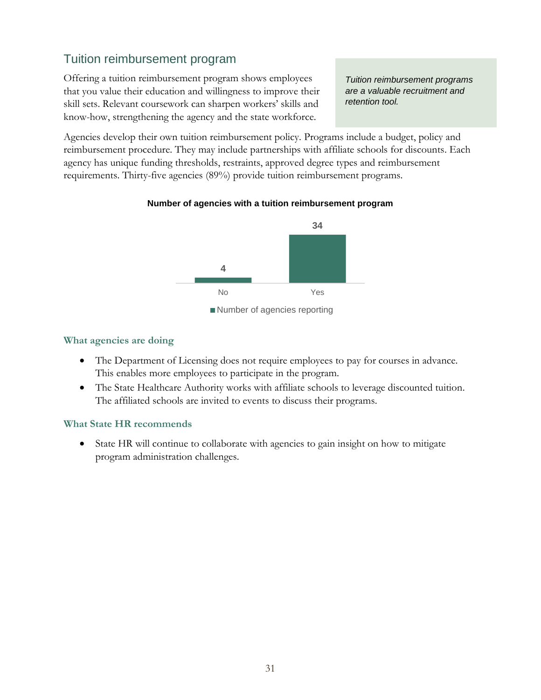## Tuition reimbursement program

Offering a tuition reimbursement program shows employees that you value their education and willingness to improve their skill sets. Relevant coursework can sharpen workers' skills and know-how, strengthening the agency and the state workforce.

*Tuition reimbursement programs are a valuable recruitment and retention tool.*

Agencies develop their own tuition reimbursement policy. Programs include a budget, policy and reimbursement procedure. They may include partnerships with affiliate schools for discounts. Each agency has unique funding thresholds, restraints, approved degree types and reimbursement requirements. Thirty-five agencies (89%) provide tuition reimbursement programs.

#### **Number of agencies with a tuition reimbursement program**

![](_page_31_Figure_5.jpeg)

#### **What agencies are doing**

- The Department of Licensing does not require employees to pay for courses in advance. This enables more employees to participate in the program.
- The State Healthcare Authority works with affiliate schools to leverage discounted tuition. The affiliated schools are invited to events to discuss their programs.

#### **What State HR recommends**

• State HR will continue to collaborate with agencies to gain insight on how to mitigate program administration challenges.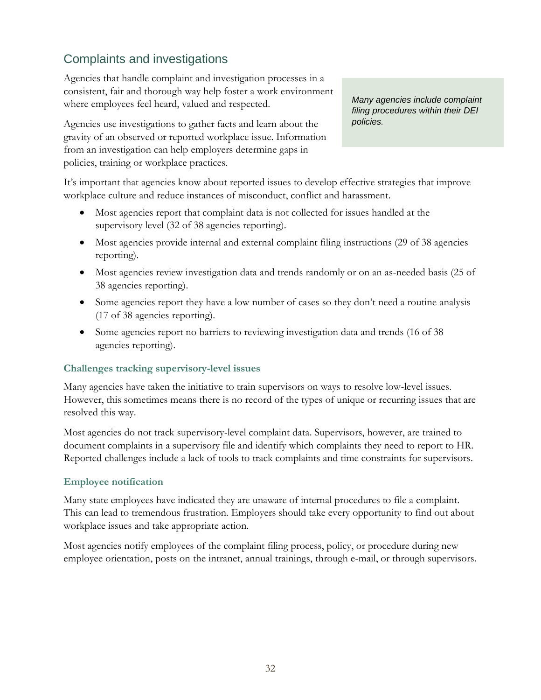## Complaints and investigations

Agencies that handle complaint and investigation processes in a consistent, fair and thorough way help foster a work environment where employees feel heard, valued and respected.

Agencies use investigations to gather facts and learn about the gravity of an observed or reported workplace issue. Information from an investigation can help employers determine gaps in policies, training or workplace practices.

*Many agencies include complaint filing procedures within their DEI policies.*

It's important that agencies know about reported issues to develop effective strategies that improve workplace culture and reduce instances of misconduct, conflict and harassment.

- Most agencies report that complaint data is not collected for issues handled at the supervisory level (32 of 38 agencies reporting).
- Most agencies provide internal and external complaint filing instructions (29 of 38 agencies reporting).
- Most agencies review investigation data and trends randomly or on an as-needed basis (25 of 38 agencies reporting).
- Some agencies report they have a low number of cases so they don't need a routine analysis (17 of 38 agencies reporting).
- Some agencies report no barriers to reviewing investigation data and trends (16 of 38) agencies reporting).

#### **Challenges tracking supervisory-level issues**

Many agencies have taken the initiative to train supervisors on ways to resolve low-level issues. However, this sometimes means there is no record of the types of unique or recurring issues that are resolved this way.

Most agencies do not track supervisory-level complaint data. Supervisors, however, are trained to document complaints in a supervisory file and identify which complaints they need to report to HR. Reported challenges include a lack of tools to track complaints and time constraints for supervisors.

#### **Employee notification**

Many state employees have indicated they are unaware of internal procedures to file a complaint. This can lead to tremendous frustration. Employers should take every opportunity to find out about workplace issues and take appropriate action.

Most agencies notify employees of the complaint filing process, policy, or procedure during new employee orientation, posts on the intranet, annual trainings, through e-mail, or through supervisors.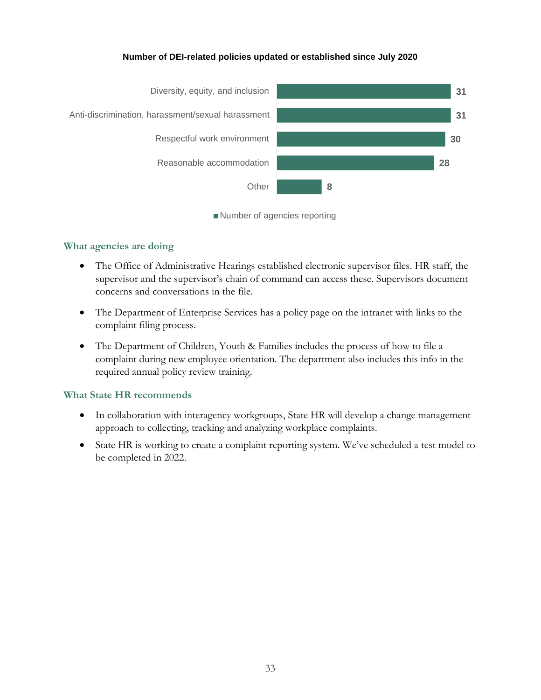#### **Number of DEI-related policies updated or established since July 2020**

![](_page_33_Figure_1.jpeg)

![](_page_33_Figure_2.jpeg)

#### **What agencies are doing**

- The Office of Administrative Hearings established electronic supervisor files. HR staff, the supervisor and the supervisor's chain of command can access these. Supervisors document concerns and conversations in the file.
- The Department of Enterprise Services has a policy page on the intranet with links to the complaint filing process.
- The Department of Children, Youth & Families includes the process of how to file a complaint during new employee orientation. The department also includes this info in the required annual policy review training.

#### **What State HR recommends**

- In collaboration with interagency workgroups, State HR will develop a change management approach to collecting, tracking and analyzing workplace complaints.
- State HR is working to create a complaint reporting system. We've scheduled a test model to be completed in 2022.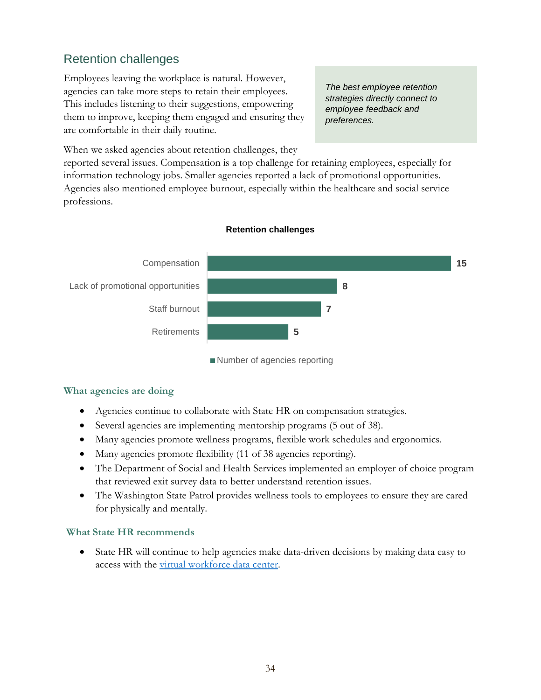## Retention challenges

Employees leaving the workplace is natural. However, agencies can take more steps to retain their employees. This includes listening to their suggestions, empowering them to improve, keeping them engaged and ensuring they are comfortable in their daily routine.

*The best employee retention strategies directly connect to employee feedback and preferences.*

When we asked agencies about retention challenges, they

reported several issues. Compensation is a top challenge for retaining employees, especially for information technology jobs. Smaller agencies reported a lack of promotional opportunities. Agencies also mentioned employee burnout, especially within the healthcare and social service professions.

![](_page_34_Figure_5.jpeg)

#### **Retention challenges**

Number of agencies reporting

#### **What agencies are doing**

- Agencies continue to collaborate with State HR on compensation strategies.
- Several agencies are implementing mentorship programs (5 out of 38).
- Many agencies promote wellness programs, flexible work schedules and ergonomics.
- Many agencies promote flexibility (11 of 38 agencies reporting).
- The Department of Social and Health Services implemented an employer of choice program that reviewed exit survey data to better understand retention issues.
- The Washington State Patrol provides wellness tools to employees to ensure they are cared for physically and mentally.

#### **What State HR recommends**

• State HR will continue to help agencies make data-driven decisions by making data easy to access with the [virtual workforce data center.](https://ofm.wa.gov/state-human-resources/workforce-data-planning/virtual-workforce-data-center)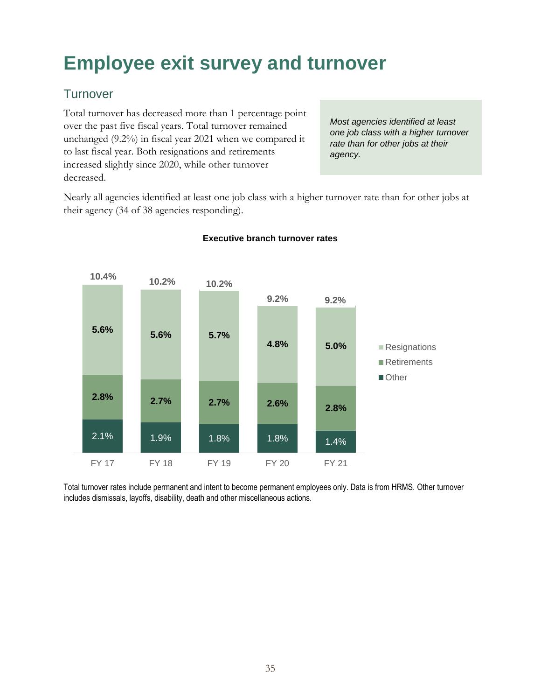## <span id="page-35-0"></span>**Employee exit survey and turnover**

## **Turnover**

Total turnover has decreased more than 1 percentage point over the past five fiscal years. Total turnover remained unchanged (9.2%) in fiscal year 2021 when we compared it to last fiscal year. Both resignations and retirements increased slightly since 2020, while other turnover decreased.

*Most agencies identified at least one job class with a higher turnover rate than for other jobs at their agency.*

Nearly all agencies identified at least one job class with a higher turnover rate than for other jobs at their agency (34 of 38 agencies responding).

![](_page_35_Figure_5.jpeg)

#### **Executive branch turnover rates**

Total turnover rates include permanent and intent to become permanent employees only. Data is from HRMS. Other turnover includes dismissals, layoffs, disability, death and other miscellaneous actions.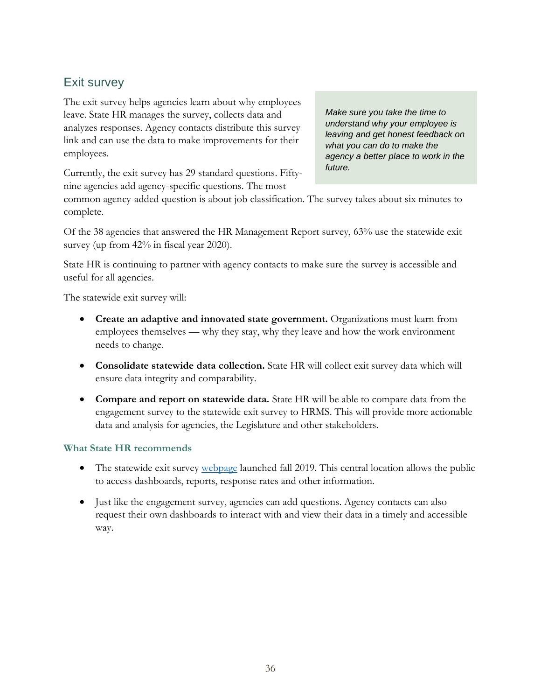## Exit survey

The exit survey helps agencies learn about why employees leave. State HR manages the survey, collects data and analyzes responses. Agency contacts distribute this survey link and can use the data to make improvements for their employees.

Currently, the exit survey has 29 standard questions. Fiftynine agencies add agency-specific questions. The most

*Make sure you take the time to understand why your employee is leaving and get honest feedback on what you can do to make the agency a better place to work in the future.*

common agency-added question is about job classification. The survey takes about six minutes to complete.

Of the 38 agencies that answered the HR Management Report survey, 63% use the statewide exit survey (up from  $42\%$  in fiscal year 2020).

State HR is continuing to partner with agency contacts to make sure the survey is accessible and useful for all agencies.

The statewide exit survey will:

- **Create an adaptive and innovated state government.** Organizations must learn from employees themselves — why they stay, why they leave and how the work environment needs to change.
- **Consolidate statewide data collection.** State HR will collect exit survey data which will ensure data integrity and comparability.
- **Compare and report on statewide data.** State HR will be able to compare data from the engagement survey to the statewide exit survey to HRMS. This will provide more actionable data and analysis for agencies, the Legislature and other stakeholders.

#### **What State HR recommends**

- The statewide exit survey [webpage](https://www.ofm.wa.gov/state-human-resources/workforce-data-planning/statewide-exit-survey) launched fall 2019. This central location allows the public to access dashboards, reports, response rates and other information.
- Just like the engagement survey, agencies can add questions. Agency contacts can also request their own dashboards to interact with and view their data in a timely and accessible way.